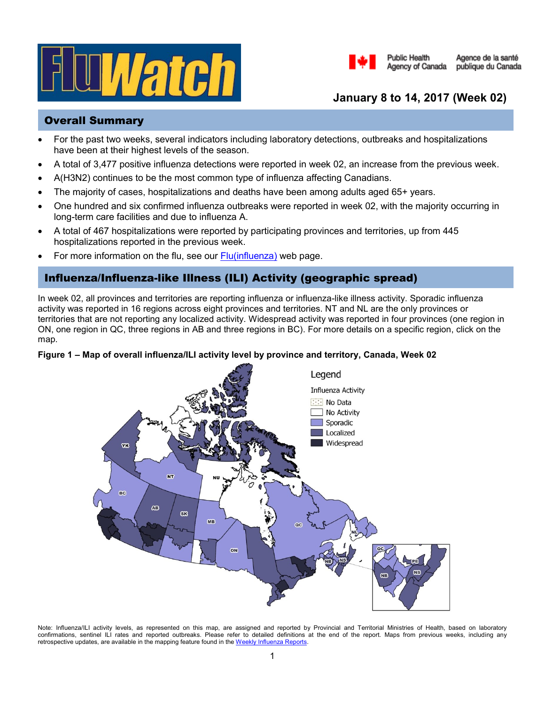



# **January 8 to 14, 2017 (Week 02)**

### Overall Summary

- For the past two weeks, several indicators including laboratory detections, outbreaks and hospitalizations have been at their highest levels of the season.
- A total of 3,477 positive influenza detections were reported in week 02, an increase from the previous week.
- A(H3N2) continues to be the most common type of influenza affecting Canadians.
- The majority of cases, hospitalizations and deaths have been among adults aged 65+ years.
- One hundred and six confirmed influenza outbreaks were reported in week 02, with the majority occurring in long-term care facilities and due to influenza A.
- A total of 467 hospitalizations were reported by participating provinces and territories, up from 445 hospitalizations reported in the previous week.
- For more information on the flu, see our **Flu**(influenza) web page.

## Influenza/Influenza-like Illness (ILI) Activity (geographic spread)

In week 02, all provinces and territories are reporting influenza or influenza-like illness activity. Sporadic influenza activity was reported in 16 regions across eight provinces and territories. NT and NL are the only provinces or territories that are not reporting any localized activity. Widespread activity was reported in four provinces (one region in ON, one region in QC, three regions in AB and three regions in BC). For more details on a specific region, click on the map.



### **Figure 1 – Map of overall influenza/ILI activity level by province and territory, Canada, Week 02**

Note: Influenza/ILI activity levels, as represented on this map, are assigned and reported by Provincial and Territorial Ministries of Health, based on laboratory confirmations, sentinel ILI rates and reported outbreaks. Please refer to detailed definitions at the end of the report. Maps from previous weeks, including any retrospective updates, are available in the mapping feature found in th[e Weekly Influenza Reports.](http://healthycanadians.gc.ca/diseases-conditions-maladies-affections/disease-maladie/flu-grippe/surveillance/fluwatch-reports-rapports-surveillance-influenza-eng.php)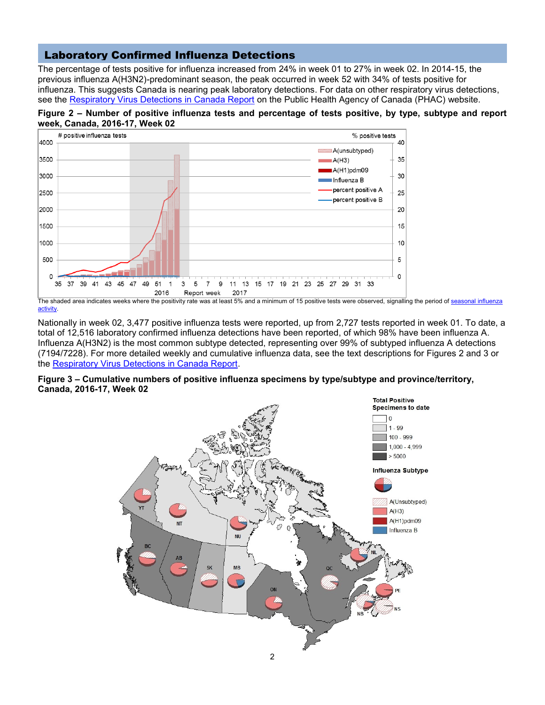### Laboratory Confirmed Influenza Detections

The percentage of tests positive for influenza increased from 24% in week 01 to 27% in week 02. In 2014-15, the previous influenza A(H3N2)-predominant season, the peak occurred in week 52 with 34% of tests positive for influenza. This suggests Canada is nearing peak laboratory detections. For data on other respiratory virus detections, see the [Respiratory Virus Detections in Canada Report](http://www.phac-aspc.gc.ca/bid-bmi/dsd-dsm/rvdi-divr/index-eng.php) on the Public Health Agency of Canada (PHAC) website.





The shaded area indicates weeks where the positivity rate was at least 5% and a minimum of 15 positive tests were observed, signalling the period of seasonal influenza [activity.](http://journals.plos.org/plosone/article?id=10.1371/journal.pone.0141776)

Nationally in week 02, 3,477 positive influenza tests were reported, up from 2,727 tests reported in week 01. To date, a total of 12,516 laboratory confirmed influenza detections have been reported, of which 98% have been influenza A. Influenza A(H3N2) is the most common subtype detected, representing over 99% of subtyped influenza A detections (7194/7228). For more detailed weekly and cumulative influenza data, see the text descriptions for Figures 2 and 3 or the [Respiratory Virus Detections in Canada Report.](http://www.phac-aspc.gc.ca/bid-bmi/dsd-dsm/rvdi-divr/index-eng.php)



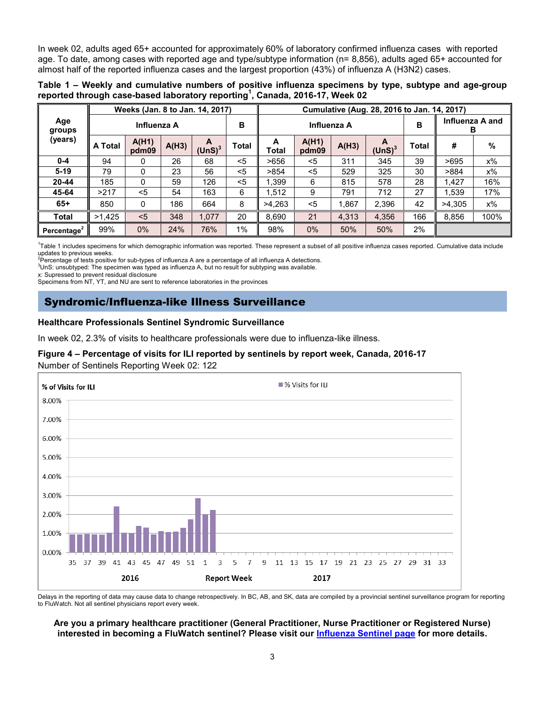In week 02, adults aged 65+ accounted for approximately 60% of laboratory confirmed influenza cases with reported age. To date, among cases with reported age and type/subtype information (n= 8,856), adults aged 65+ accounted for almost half of the reported influenza cases and the largest proportion (43%) of influenza A (H3N2) cases.

**Table 1 – Weekly and cumulative numbers of positive influenza specimens by type, subtype and age-group reported through case-based laboratory reporting<sup>1</sup> , Canada, 2016-17, Week 02**

|                         | Weeks (Jan. 8 to Jan. 14, 2017) |                |       |                 | Cumulative (Aug. 28, 2016 to Jan. 14, 2017) |             |                |       |                         |              |                      |       |
|-------------------------|---------------------------------|----------------|-------|-----------------|---------------------------------------------|-------------|----------------|-------|-------------------------|--------------|----------------------|-------|
| Age<br>groups           | Influenza A                     |                |       |                 | в                                           | Influenza A |                |       |                         | в            | Influenza A and<br>в |       |
| (years)                 | <b>A</b> Total                  | A(H1)<br>pdm09 | A(H3) | A<br>(UnS) $^3$ | <b>Total</b>                                | A<br>Total  | A(H1)<br>pdm09 | A(H3) | A<br>(UnS) <sup>3</sup> | <b>Total</b> | #                    | %     |
| $0 - 4$                 | 94                              | 0              | 26    | 68              | $5$                                         | >656        | <5             | 311   | 345                     | 39           | >695                 | x%    |
| $5-19$                  | 79                              | 0              | 23    | 56              | $5$                                         | >854        | $5$            | 529   | 325                     | 30           | >884                 | x%    |
| $20 - 44$               | 185                             | 0              | 59    | 126             | $5$                                         | .399        | 6              | 815   | 578                     | 28           | 1.427                | 16%   |
| 45-64                   | >217                            | $5$            | 54    | 163             | 6                                           | .512        | 9              | 791   | 712                     | 27           | 1,539                | 17%   |
| $65+$                   | 850                             | 0              | 186   | 664             | 8                                           | >4.263      | $5$            | 1,867 | 2,396                   | 42           | >4,305               | $x\%$ |
| <b>Total</b>            | >1,425                          | < 5            | 348   | 1.077           | 20                                          | 8,690       | 21             | 4,313 | 4,356                   | 166          | 8,856                | 100%  |
| Percentage <sup>2</sup> | 99%                             | 0%             | 24%   | 76%             | 1%                                          | 98%         | $0\%$          | 50%   | 50%                     | 2%           |                      |       |

<sup>1</sup>Table 1 includes specimens for which demographic information was reported. These represent a subset of all positive influenza cases reported. Cumulative data include updates to previous weeks.

 ${}^{2}$ Percentage of tests positive for sub-types of influenza A are a percentage of all influenza A detections.

 $3$ UnS: unsubtyped: The specimen was typed as influenza A, but no result for subtyping was available.

x: Supressed to prevent residual disclosure

Specimens from NT, YT, and NU are sent to reference laboratories in the provinces

### Syndromic/Influenza-like Illness Surveillance

#### **Healthcare Professionals Sentinel Syndromic Surveillance**

In week 02, 2.3% of visits to healthcare professionals were due to influenza-like illness.

### **Figure 4 – Percentage of visits for ILI reported by sentinels by report week, Canada, 2016-17**

Number of Sentinels Reporting Week 02: 122



Delays in the reporting of data may cause data to change retrospectively. In BC, AB, and SK, data are compiled by a provincial sentinel surveillance program for reporting to FluWatch. Not all sentinel physicians report every week.

#### **Are you a primary healthcare practitioner (General Practitioner, Nurse Practitioner or Registered Nurse) interested in becoming a FluWatch sentinel? Please visit our [Influenza Sentinel page](http://healthycanadians.gc.ca/diseases-conditions-maladies-affections/disease-maladie/flu-grippe/surveillance/sentinel-recruiters-recruteurs-sentinelles-eng.php) for more details.**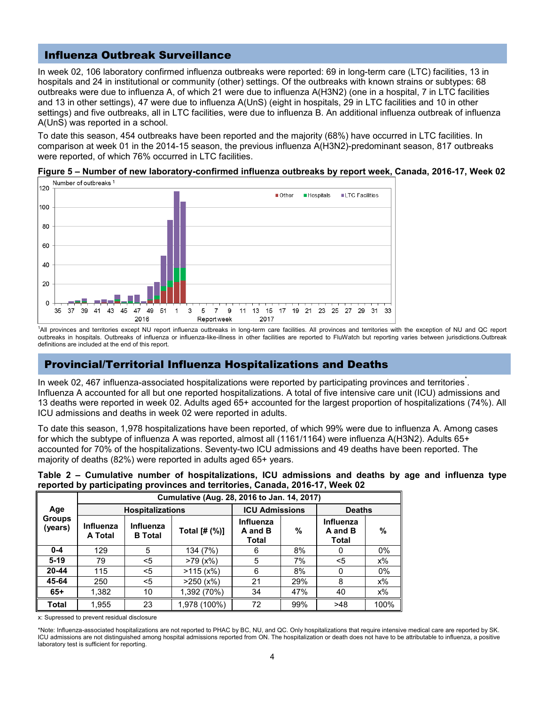## Influenza Outbreak Surveillance

In week 02, 106 laboratory confirmed influenza outbreaks were reported: 69 in long-term care (LTC) facilities, 13 in hospitals and 24 in institutional or community (other) settings. Of the outbreaks with known strains or subtypes: 68 outbreaks were due to influenza A, of which 21 were due to influenza A(H3N2) (one in a hospital, 7 in LTC facilities and 13 in other settings), 47 were due to influenza A(UnS) (eight in hospitals, 29 in LTC facilities and 10 in other settings) and five outbreaks, all in LTC facilities, were due to influenza B. An additional influenza outbreak of influenza A(UnS) was reported in a school.

To date this season, 454 outbreaks have been reported and the majority (68%) have occurred in LTC facilities. In comparison at week 01 in the 2014-15 season, the previous influenza A(H3N2)-predominant season, 817 outbreaks were reported, of which 76% occurred in LTC facilities.

**Figure 5 – Number of new laboratory-confirmed influenza outbreaks by report week, Canada, 2016-17, Week 02** Number of outbreaks<sup>1</sup>



<sup>1</sup>All provinces and territories except NU report influenza outbreaks in long-term care facilities. All provinces and territories with the exception of NU and QC report outbreaks in hospitals. Outbreaks of influenza or influenza-like-illness in other facilities are reported to FluWatch but reporting varies between jurisdictions.Outbreak definitions are included at the end of this report.

## Provincial/Territorial Influenza Hospitalizations and Deaths

In week 02, 467 influenza-a[s](http://www.phac-aspc.gc.ca/fluwatch/14-15/w14_15/index-eng.php#st)sociated hospitalizations were reported by participating provinces and territories. Influenza A accounted for all but one reported hospitalizations. A total of five intensive care unit (ICU) admissions and 13 deaths were reported in week 02. Adults aged 65+ accounted for the largest proportion of hospitalizations (74%). All ICU admissions and deaths in week 02 were reported in adults.

To date this season, 1,978 hospitalizations have been reported, of which 99% were due to influenza A. Among cases for which the subtype of influenza A was reported, almost all (1161/1164) were influenza A(H3N2). Adults 65+ accounted for 70% of the hospitalizations. Seventy-two ICU admissions and 49 deaths have been reported. The majority of deaths (82%) were reported in adults aged 65+ years.

| Table 2 – Cumulative number of hospitalizations, ICU admissions and deaths by age and influenza type |  |  |  |
|------------------------------------------------------------------------------------------------------|--|--|--|
| reported by participating provinces and territories, Canada, 2016-17, Week 02                        |  |  |  |

|                                 | Cumulative (Aug. 28, 2016 to Jan. 14, 2017) |                             |               |                                      |      |                               |       |  |  |  |
|---------------------------------|---------------------------------------------|-----------------------------|---------------|--------------------------------------|------|-------------------------------|-------|--|--|--|
| Age<br><b>Groups</b><br>(years) |                                             | <b>Hospitalizations</b>     |               | <b>ICU Admissions</b>                |      | <b>Deaths</b>                 |       |  |  |  |
|                                 | Influenza<br><b>A</b> Total                 | Influenza<br><b>B</b> Total | Total [# (%)] | Influenza<br>A and B<br><b>Total</b> | $\%$ | Influenza<br>A and B<br>Total | %     |  |  |  |
| $0 - 4$                         | 129                                         | 5                           | 134 (7%)      | 6                                    | 8%   | 0                             | 0%    |  |  |  |
| $5-19$                          | 79                                          | <5                          | >79(x%)       | 5                                    | 7%   | <5                            | x%    |  |  |  |
| $20 - 44$                       | 115                                         | $<$ 5                       | >115(x%)      | 6                                    | 8%   | $\Omega$                      | $0\%$ |  |  |  |
| 45-64                           | 250                                         | $<$ 5                       | $>250$ (x%)   | 21                                   | 29%  | 8                             | $x\%$ |  |  |  |
| $65+$                           | 1,382                                       | 10                          | 1,392 (70%)   | 34                                   | 47%  | 40                            | $x\%$ |  |  |  |
| <b>Total</b>                    | 1,955                                       | 23                          | 1,978 (100%)  | 72                                   | 99%  | >48                           | 100%  |  |  |  |

x: Supressed to prevent residual disclosure

\*Note: Influenza-associated hospitalizations are not reported to PHAC by BC, NU, and QC. Only hospitalizations that require intensive medical care are reported by SK. ICU admissions are not distinguished among hospital admissions reported from ON. The hospitalization or death does not have to be attributable to influenza, a positive laboratory test is sufficient for reporting.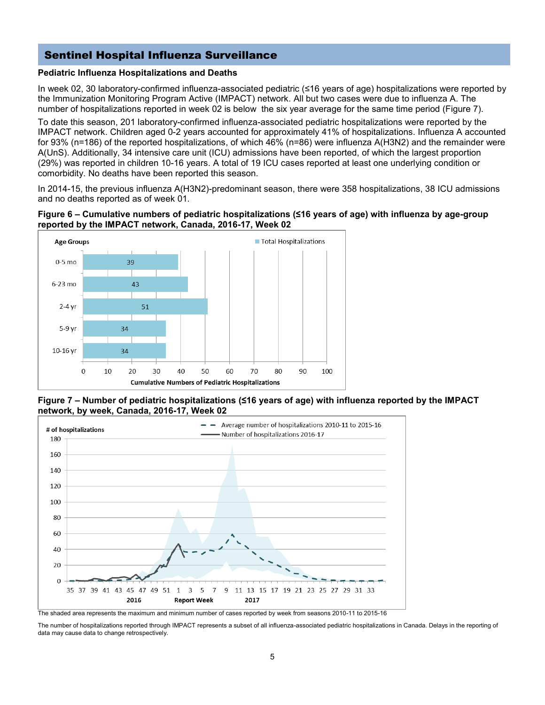## Sentinel Hospital Influenza Surveillance

### **Pediatric Influenza Hospitalizations and Deaths**

In week 02, 30 laboratory-confirmed influenza-associated pediatric (≤16 years of age) hospitalizations were reported by the Immunization Monitoring Program Active (IMPACT) network. All but two cases were due to influenza A. The number of hospitalizations reported in week 02 is below the six year average for the same time period (Figure 7).

To date this season, 201 laboratory-confirmed influenza-associated pediatric hospitalizations were reported by the IMPACT network. Children aged 0-2 years accounted for approximately 41% of hospitalizations. Influenza A accounted for 93% (n=186) of the reported hospitalizations, of which 46% (n=86) were influenza A(H3N2) and the remainder were A(UnS). Additionally, 34 intensive care unit (ICU) admissions have been reported, of which the largest proportion (29%) was reported in children 10-16 years. A total of 19 ICU cases reported at least one underlying condition or comorbidity. No deaths have been reported this season.

In 2014-15, the previous influenza A(H3N2)-predominant season, there were 358 hospitalizations, 38 ICU admissions and no deaths reported as of week 01.

#### **Figure 6 – Cumulative numbers of pediatric hospitalizations (≤16 years of age) with influenza by age-group reported by the IMPACT network, Canada, 2016-17, Week 02**



**Figure 7 – Number of pediatric hospitalizations (≤16 years of age) with influenza reported by the IMPACT network, by week, Canada, 2016-17, Week 02**



The shaded area represents the maximum and minimum number of cases reported by week from seasons 2010-11 to 2015-16

The number of hospitalizations reported through IMPACT represents a subset of all influenza-associated pediatric hospitalizations in Canada. Delays in the reporting of data may cause data to change retrospectively.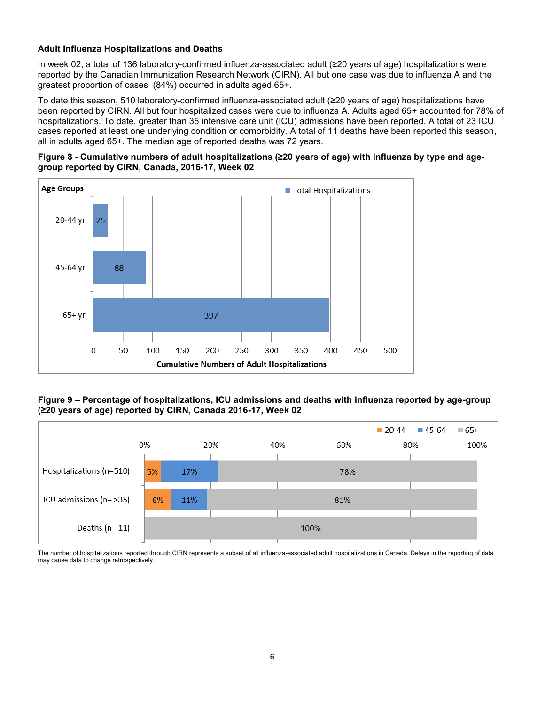### **Adult Influenza Hospitalizations and Deaths**

In week 02, a total of 136 laboratory-confirmed influenza-associated adult (≥20 years of age) hospitalizations were reported by the Canadian Immunization Research Network (CIRN). All but one case was due to influenza A and the greatest proportion of cases (84%) occurred in adults aged 65+.

To date this season, 510 laboratory-confirmed influenza-associated adult (≥20 years of age) hospitalizations have been reported by CIRN. All but four hospitalized cases were due to influenza A. Adults aged 65+ accounted for 78% of hospitalizations. To date, greater than 35 intensive care unit (ICU) admissions have been reported. A total of 23 ICU cases reported at least one underlying condition or comorbidity. A total of 11 deaths have been reported this season, all in adults aged 65+. The median age of reported deaths was 72 years.





#### **Figure 9 – Percentage of hospitalizations, ICU admissions and deaths with influenza reported by age-group (≥20 years of age) reported by CIRN, Canada 2016-17, Week 02**



The number of hospitalizations reported through CIRN represents a subset of all influenza-associated adult hospitalizations in Canada. Delays in the reporting of data may cause data to change retrospectively.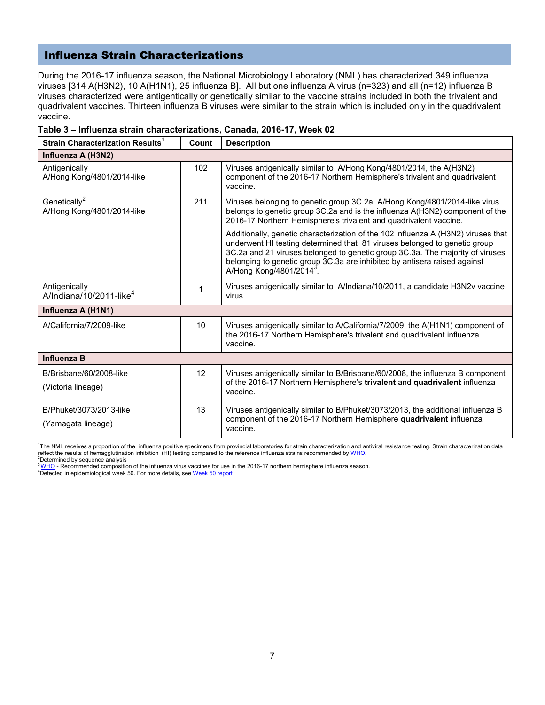### Influenza Strain Characterizations

During the 2016-17 influenza season, the National Microbiology Laboratory (NML) has characterized 349 influenza viruses [314 A(H3N2), 10 A(H1N1), 25 influenza B]. All but one influenza A virus (n=323) and all (n=12) influenza B viruses characterized were antigentically or genetically similar to the vaccine strains included in both the trivalent and quadrivalent vaccines. Thirteen influenza B viruses were similar to the strain which is included only in the quadrivalent vaccine.

| Strain Characterization Results <sup>1</sup>           | Count | <b>Description</b>                                                                                                                                                                                                                                                                                                                                                   |  |  |  |  |
|--------------------------------------------------------|-------|----------------------------------------------------------------------------------------------------------------------------------------------------------------------------------------------------------------------------------------------------------------------------------------------------------------------------------------------------------------------|--|--|--|--|
| Influenza A (H3N2)                                     |       |                                                                                                                                                                                                                                                                                                                                                                      |  |  |  |  |
| Antigenically<br>A/Hong Kong/4801/2014-like            | 102   | Viruses antigenically similar to A/Hong Kong/4801/2014, the A(H3N2)<br>component of the 2016-17 Northern Hemisphere's trivalent and quadrivalent<br>vaccine.                                                                                                                                                                                                         |  |  |  |  |
| Genetically <sup>2</sup><br>A/Hong Kong/4801/2014-like | 211   | Viruses belonging to genetic group 3C.2a. A/Hong Kong/4801/2014-like virus<br>belongs to genetic group 3C.2a and is the influenza A(H3N2) component of the<br>2016-17 Northern Hemisphere's trivalent and quadrivalent vaccine.                                                                                                                                      |  |  |  |  |
|                                                        |       | Additionally, genetic characterization of the 102 influenza A (H3N2) viruses that<br>underwent HI testing determined that 81 viruses belonged to genetic group<br>3C.2a and 21 viruses belonged to genetic group 3C.3a. The majority of viruses<br>belonging to genetic group 3C.3a are inhibited by antisera raised against<br>A/Hong Kong/4801/2014 <sup>3</sup> . |  |  |  |  |
| Antigenically<br>A/Indiana/10/2011-like <sup>4</sup>   | 1     | Viruses antigenically similar to A/Indiana/10/2011, a candidate H3N2v vaccine<br>virus.                                                                                                                                                                                                                                                                              |  |  |  |  |
| Influenza A (H1N1)                                     |       |                                                                                                                                                                                                                                                                                                                                                                      |  |  |  |  |
| A/California/7/2009-like                               | 10    | Viruses antigenically similar to A/California/7/2009, the A(H1N1) component of<br>the 2016-17 Northern Hemisphere's trivalent and quadrivalent influenza<br>vaccine.                                                                                                                                                                                                 |  |  |  |  |
| <b>Influenza B</b>                                     |       |                                                                                                                                                                                                                                                                                                                                                                      |  |  |  |  |
| 12<br>B/Brisbane/60/2008-like<br>(Victoria lineage)    |       | Viruses antigenically similar to B/Brisbane/60/2008, the influenza B component<br>of the 2016-17 Northern Hemisphere's trivalent and quadrivalent influenza<br>vaccine.                                                                                                                                                                                              |  |  |  |  |
| B/Phuket/3073/2013-like<br>(Yamagata lineage)          | 13    | Viruses antigenically similar to B/Phuket/3073/2013, the additional influenza B<br>component of the 2016-17 Northern Hemisphere quadrivalent influenza<br>vaccine.                                                                                                                                                                                                   |  |  |  |  |

#### **Table 3 – Influenza strain characterizations, Canada, 2016-17, Week 02**

<sup>1</sup>The NML receives a proportion of the influenza positive specimens from provincial laboratories for strain characterization and antiviral resistance testing. Strain characterization data reflect the results of hemagglutination inhibition (HI) testing compared to the reference influenza strains recommended b[y WHO.](http://www.who.int/influenza/vaccines/virus/recommendations/en/)  $2^2$ Determined by sequence analysis

<sup>3</sup>[WHO](http://www.who.int/influenza/vaccines/virus/recommendations/201602_recommendation.pdf) - Recommended composition of the influenza virus vaccines for use in the 2016-17 northern hemisphere influenza season.

4Detected in epidemiological week 50. For more details, se[e Week 50 report](http://healthycanadians.gc.ca/publications/diseases-conditions-maladies-affections/fluwatch-2016-2017-50-surveillance-influenza/index-eng.php)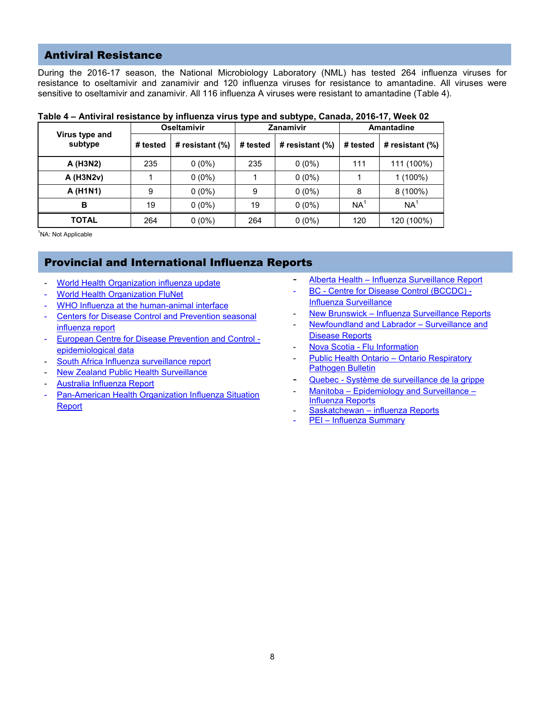### Antiviral Resistance

During the 2016-17 season, the National Microbiology Laboratory (NML) has tested 264 influenza viruses for resistance to oseltamivir and zanamivir and 120 influenza viruses for resistance to amantadine. All viruses were sensitive to oseltamivir and zanamivir. All 116 influenza A viruses were resistant to amantadine (Table 4).

|                           |          | <b>Oseltamivir</b> | . .      | . .<br>Zanamivir   | <b>Amantadine</b> |                    |  |
|---------------------------|----------|--------------------|----------|--------------------|-------------------|--------------------|--|
| Virus type and<br>subtype | # tested | # resistant $(\%)$ | # tested | # resistant $(\%)$ | # tested          | # resistant $(\%)$ |  |
| A (H3N2)                  | 235      | $0(0\%)$           | 235      | $0(0\%)$           | 111               | 111 (100%)         |  |
| A (H3N2v)                 |          | $0(0\%)$           |          | $0(0\%)$           |                   | $1(100\%)$         |  |
| A (H1N1)                  | 9        | $0(0\%)$           | 9        | $0(0\%)$           | 8                 | $8(100\%)$         |  |
| в                         | 19       | $0(0\%)$           | 19       | $0(0\%)$           | NA <sup>®</sup>   | NA <sup>1</sup>    |  |
| <b>TOTAL</b>              | 264      | $0(0\%)$           | 264      | $0(0\%)$           | 120               | 120 (100%)         |  |

### **Table 4 – Antiviral resistance by influenza virus type and subtype, Canada, 2016-17, Week 02**

<sup>1</sup>NA: Not Applicable

## Provincial and International Influenza Reports

- [World Health Organization influenza update](http://www.who.int/influenza/surveillance_monitoring/updates/latest_update_GIP_surveillance/en/index.html)
- [World Health Organization FluNet](http://www.who.int/influenza/gisrs_laboratory/flunet/en/)
- WHO Influenza at the human-animal interface
- Centers for Disease Control and Prevention seasonal [influenza report](http://www.cdc.gov/flu/weekly/index.htm)
- [European Centre for Disease Prevention and Control](http://ecdc.europa.eu/en/healthtopics/influenza/epidemiological_data/Pages/epidemiological_data.aspx)  [epidemiological data](http://ecdc.europa.eu/en/healthtopics/influenza/epidemiological_data/Pages/epidemiological_data.aspx)
- [South Africa Influenza surveillance report](http://www.nicd.ac.za/?page=seasonal_influenza&id=72)
- **[New Zealand Public Health Surveillance](http://www.surv.esr.cri.nz/virology/influenza_weekly_update.php)**
- [Australia Influenza Report](http://www.health.gov.au/internet/main/publishing.nsf/Content/cda-surveil-ozflu-flucurr.htm)
- Pan-American Health Organization Influenza Situation [Report](http://www.paho.org/hq/index.php?option=com_content&view=article&id=3352%3A2010-influenza-situation-report&catid=2407%3Ainfluenza-other-respiratory-viruses&Itemid=2469&lang=en)
- Alberta Health [Influenza Surveillance Report](http://www.health.alberta.ca/professionals/influenza-evidence.html)
- BC [Centre for Disease Control](http://www.bccdc.ca/health-professionals/data-reports/influenza-surveillance-reports) (BCCDC) -[Influenza Surveillance](http://www.bccdc.ca/health-professionals/data-reports/influenza-surveillance-reports)
- New Brunswick [Influenza Surveillance Reports](http://www2.gnb.ca/content/gnb/en/departments/ocmoh/cdc/content/influenza/influenza_surveillance_activities.html)
- [Newfoundland and Labrador](http://www.health.gov.nl.ca/health/publichealth/cdc/informationandsurveillance.html)  Surveillance and [Disease Reports](http://www.health.gov.nl.ca/health/publichealth/cdc/informationandsurveillance.html)
- Nova Scotia [Flu Information](http://novascotia.ca/dhw/CDPC/flu.asp)
- [Public Health Ontario](https://www.publichealthontario.ca/en/ServicesAndTools/SurveillanceServices/Pages/Ontario-Respiratory-Virus-Bulletin.aspx)  Ontario Respiratory [Pathogen Bulletin](https://www.publichealthontario.ca/en/ServicesAndTools/SurveillanceServices/Pages/Ontario-Respiratory-Virus-Bulletin.aspx)
- Quebec [Système de surveillance de la grippe](http://www.msss.gouv.qc.ca/grippe/)
- Manitoba [Epidemiology and Surveillance](http://www.gov.mb.ca/health/publichealth/surveillance/influenza/index.html)  [Influenza Reports](http://www.gov.mb.ca/health/publichealth/surveillance/influenza/index.html)
- Saskatchewan [influenza Reports](https://www.saskatchewan.ca/government/government-structure/ministries/health/other-reports/influenza-reports)
- PEI [Influenza Summary](https://www.princeedwardisland.ca/en/information/health-and-wellness/pei-weekly-influenza-summary-2016-2017)